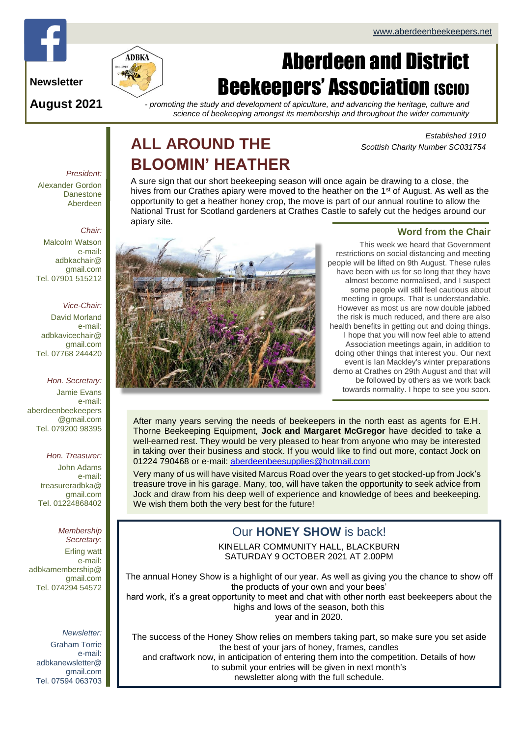

**Newsletter**

**August 2021**

# Aberdeen and District **Beekeepers' Association (SCIO)**

*- promoting the study and development of apiculture, and advancing the heritage, culture and science of beekeeping amongst its membership and throughout the wider community*

# **ALL AROUND THE BLOOMIN' HEATHER**

*Established 1910 Scottish Charity Number SC031754*

#### *President:* Alexander Gordon **Danestone** Aberdeen

#### *Chair:*

Malcolm Watson e-mail: adbkachair@ gmail.com Tel. 07901 515212

#### *Vice-Chair:*

David Morland e-mail: adbkavicechair@ gmail.com Tel. 07768 244420

#### *Hon. Secretary:*

Jamie Evans e-mail: [aberdeenbeekeepers](mailto:aberdeenbeekeepers@gmail.com) [@gmail.com](mailto:aberdeenbeekeepers@gmail.com) Tel. 079200 98395

#### *Hon. Treasurer:*

John Adams e-mail: treasureradbka@ gmail.com Tel. 01224868402

### *Membership*

*Secretary:*  Erling watt e-mail: adbkamembership@ gmail.com Tel. 074294 54572

#### *Newsletter:*

Graham Torrie e-mail: adbkanewsletter@ gmail.com Tel. 07594 063703 A sure sign that our short beekeeping season will once again be drawing to a close, the hives from our Crathes apiary were moved to the heather on the 1<sup>st</sup> of August. As well as the opportunity to get a heather honey crop, the move is part of our annual routine to allow the National Trust for Scotland gardeners at Crathes Castle to safely cut the hedges around our apiary site.



#### **Word from the Chair**

This week we heard that Government restrictions on social distancing and meeting people will be lifted on 9th August. These rules have been with us for so long that they have almost become normalised, and I suspect some people will still feel cautious about meeting in groups. That is understandable. However as most us are now double jabbed the risk is much reduced, and there are also health benefits in getting out and doing things. I hope that you will now feel able to attend Association meetings again, in addition to doing other things that interest you. Our next event is Ian Mackley's winter preparations demo at Crathes on 29th August and that will be followed by others as we work back towards normality. I hope to see you soon.

After many years serving the needs of beekeepers in the north east as agents for E.H. Thorne Beekeeping Equipment, **Jock and Margaret McGregor** have decided to take a well-earned rest. They would be very pleased to hear from anyone who may be interested in taking over their business and stock. If you would like to find out more, contact Jock on 01224 790468 or e-mail: [aberdeenbeesupplies@hotmail.com](mailto:aberdeenbeesupplies@hotmail.com)

Very many of us will have visited Marcus Road over the years to get stocked-up from Jock's treasure trove in his garage. Many, too, will have taken the opportunity to seek advice from Jock and draw from his deep well of experience and knowledge of bees and beekeeping. We wish them both the very best for the future!

### Our **HONEY SHOW** is back!

KINELLAR COMMUNITY HALL, BLACKBURN SATURDAY 9 OCTOBER 2021 AT 2.00PM

The annual Honey Show is a highlight of our year. As well as giving you the chance to show off the products of your own and your bees' hard work, it's a great opportunity to meet and chat with other north east beekeepers about the highs and lows of the season, both this

year and in 2020.

The success of the Honey Show relies on members taking part, so make sure you set aside the best of your jars of honey, frames, candles and craftwork now, in anticipation of entering them into the competition. Details of how to submit your entries will be given in next month's newsletter along with the full schedule.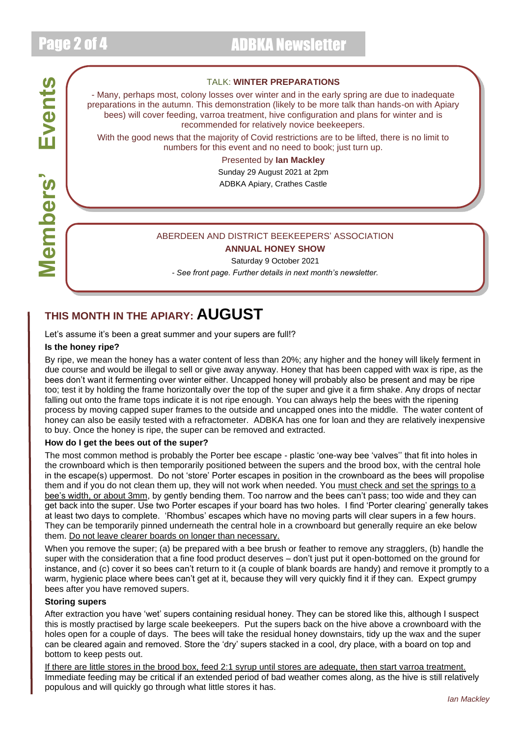**Members' Events**

**Members'** 

Events

# Page 2 of 4 ADBKA Newsletter

#### TALK: **WINTER PREPARATIONS**

- Many, perhaps most, colony losses over winter and in the early spring are due to inadequate preparations in the autumn. This demonstration (likely to be more talk than hands-on with Apiary bees) will cover feeding, varroa treatment, hive configuration and plans for winter and is recommended for relatively novice beekeepers.

With the good news that the majority of Covid restrictions are to be lifted, there is no limit to numbers for this event and no need to book; just turn up.

#### Presented by **Ian Mackley**

Sunday 29 August 2021 at 2pm ADBKA Apiary, Crathes Castle

#### ABERDEEN AND DISTRICT BEEKEEPERS' ASSOCIATION

#### **ANNUAL HONEY SHOW**

Saturday 9 October 2021 *- See front page. Further details in next month's newsletter.*

## **THIS MONTH IN THE APIARY: AUGUST**

Let's assume it's been a great summer and your supers are full!?

#### **Is the honey ripe?**

By ripe, we mean the honey has a water content of less than 20%; any higher and the honey will likely ferment in due course and would be illegal to sell or give away anyway. Honey that has been capped with wax is ripe, as the bees don't want it fermenting over winter either. Uncapped honey will probably also be present and may be ripe too; test it by holding the frame horizontally over the top of the super and give it a firm shake. Any drops of nectar falling out onto the frame tops indicate it is not ripe enough. You can always help the bees with the ripening process by moving capped super frames to the outside and uncapped ones into the middle. The water content of honey can also be easily tested with a refractometer. ADBKA has one for loan and they are relatively inexpensive to buy. Once the honey is ripe, the super can be removed and extracted.

#### **How do I get the bees out of the super?**

The most common method is probably the Porter bee escape - plastic 'one-way bee 'valves'' that fit into holes in the crownboard which is then temporarily positioned between the supers and the brood box, with the central hole in the escape(s) uppermost. Do not 'store' Porter escapes in position in the crownboard as the bees will propolise them and if you do not clean them up, they will not work when needed. You must check and set the springs to a bee's width, or about 3mm, by gently bending them. Too narrow and the bees can't pass; too wide and they can get back into the super. Use two Porter escapes if your board has two holes. I find 'Porter clearing' generally takes at least two days to complete. 'Rhombus' escapes which have no moving parts will clear supers in a few hours. They can be temporarily pinned underneath the central hole in a crownboard but generally require an eke below them. Do not leave clearer boards on longer than necessary.

When you remove the super; (a) be prepared with a bee brush or feather to remove any stragglers, (b) handle the super with the consideration that a fine food product deserves – don't just put it open-bottomed on the ground for instance, and (c) cover it so bees can't return to it (a couple of blank boards are handy) and remove it promptly to a warm, hygienic place where bees can't get at it, because they will very quickly find it if they can. Expect grumpy bees after you have removed supers.

#### **Storing supers**

After extraction you have 'wet' supers containing residual honey. They can be stored like this, although I suspect this is mostly practised by large scale beekeepers. Put the supers back on the hive above a crownboard with the holes open for a couple of days. The bees will take the residual honey downstairs, tidy up the wax and the super can be cleared again and removed. Store the 'dry' supers stacked in a cool, dry place, with a board on top and bottom to keep pests out.

If there are little stores in the brood box, feed 2:1 syrup until stores are adequate, then start varroa treatment. Immediate feeding may be critical if an extended period of bad weather comes along, as the hive is still relatively populous and will quickly go through what little stores it has.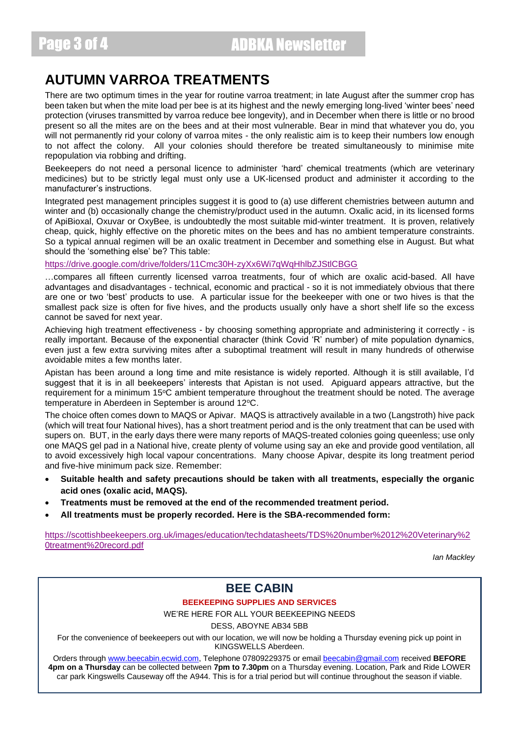Page 3 of 4 ADBKA Newsletter

### **AUTUMN VARROA TREATMENTS**

There are two optimum times in the year for routine varroa treatment; in late August after the summer crop has been taken but when the mite load per bee is at its highest and the newly emerging long-lived 'winter bees' need protection (viruses transmitted by varroa reduce bee longevity), and in December when there is little or no brood present so all the mites are on the bees and at their most vulnerable. Bear in mind that whatever you do, you will not permanently rid your colony of varroa mites - the only realistic aim is to keep their numbers low enough to not affect the colony. All your colonies should therefore be treated simultaneously to minimise mite repopulation via robbing and drifting.

Beekeepers do not need a personal licence to administer 'hard' chemical treatments (which are veterinary medicines) but to be strictly legal must only use a UK-licensed product and administer it according to the manufacturer's instructions.

Integrated pest management principles suggest it is good to (a) use different chemistries between autumn and winter and (b) occasionally change the chemistry/product used in the autumn. Oxalic acid, in its licensed forms of ApiBioxal, Oxuvar or OxyBee, is undoubtedly the most suitable mid-winter treatment. It is proven, relatively cheap, quick, highly effective on the phoretic mites on the bees and has no ambient temperature constraints. So a typical annual regimen will be an oxalic treatment in December and something else in August. But what should the 'something else' be? This table:

<https://drive.google.com/drive/folders/11Cmc30H-zyXx6Wi7qWqHhlbZJStlCBGG>

…compares all fifteen currently licensed varroa treatments, four of which are oxalic acid-based. All have advantages and disadvantages - technical, economic and practical - so it is not immediately obvious that there are one or two 'best' products to use. A particular issue for the beekeeper with one or two hives is that the smallest pack size is often for five hives, and the products usually only have a short shelf life so the excess cannot be saved for next year.

Achieving high treatment effectiveness - by choosing something appropriate and administering it correctly - is really important. Because of the exponential character (think Covid 'R' number) of mite population dynamics, even just a few extra surviving mites after a suboptimal treatment will result in many hundreds of otherwise avoidable mites a few months later.

Apistan has been around a long time and mite resistance is widely reported. Although it is still available, I'd suggest that it is in all beekeepers' interests that Apistan is not used. Apiguard appears attractive, but the requirement for a minimum 15°C ambient temperature throughout the treatment should be noted. The average temperature in Aberdeen in September is around 12°C.

The choice often comes down to MAQS or Apivar. MAQS is attractively available in a two (Langstroth) hive pack (which will treat four National hives), has a short treatment period and is the only treatment that can be used with supers on. BUT, in the early days there were many reports of MAQS-treated colonies going queenless; use only one MAQS gel pad in a National hive, create plenty of volume using say an eke and provide good ventilation, all to avoid excessively high local vapour concentrations. Many choose Apivar, despite its long treatment period and five-hive minimum pack size. Remember:

- **Suitable health and safety precautions should be taken with all treatments, especially the organic acid ones (oxalic acid, MAQS).**
- **Treatments must be removed at the end of the recommended treatment period.**
- **All treatments must be properly recorded. Here is the SBA-recommended form:**

[https://scottishbeekeepers.org.uk/images/education/techdatasheets/TDS%20number%2012%20Veterinary%2](https://scottishbeekeepers.org.uk/images/education/techdatasheets/TDS%20number%2012%20Veterinary%20treatment%20record.pdf) [0treatment%20record.pdf](https://scottishbeekeepers.org.uk/images/education/techdatasheets/TDS%20number%2012%20Veterinary%20treatment%20record.pdf)

*Ian Mackley*

### **BEE CABIN**

**BEEKEEPING SUPPLIES AND SERVICES**

WE'RE HERE FOR ALL YOUR BEEKEEPING NEEDS

DESS, ABOYNE AB34 5BB

For the convenience of beekeepers out with our location, we will now be holding a Thursday evening pick up point in KINGSWELLS Aberdeen.

Orders through [www.beecabin.ecwid.com,](http://www.beecabin.ecwid.com/) Telephone 07809229375 or email [beecabin@gmail.com](mailto:beecabin@gmail.com) received **BEFORE 4pm on a Thursday** can be collected between **7pm to 7.30pm** on a Thursday evening. Location, Park and Ride LOWER car park Kingswells Causeway off the A944. This is for a trial period but will continue throughout the season if viable.